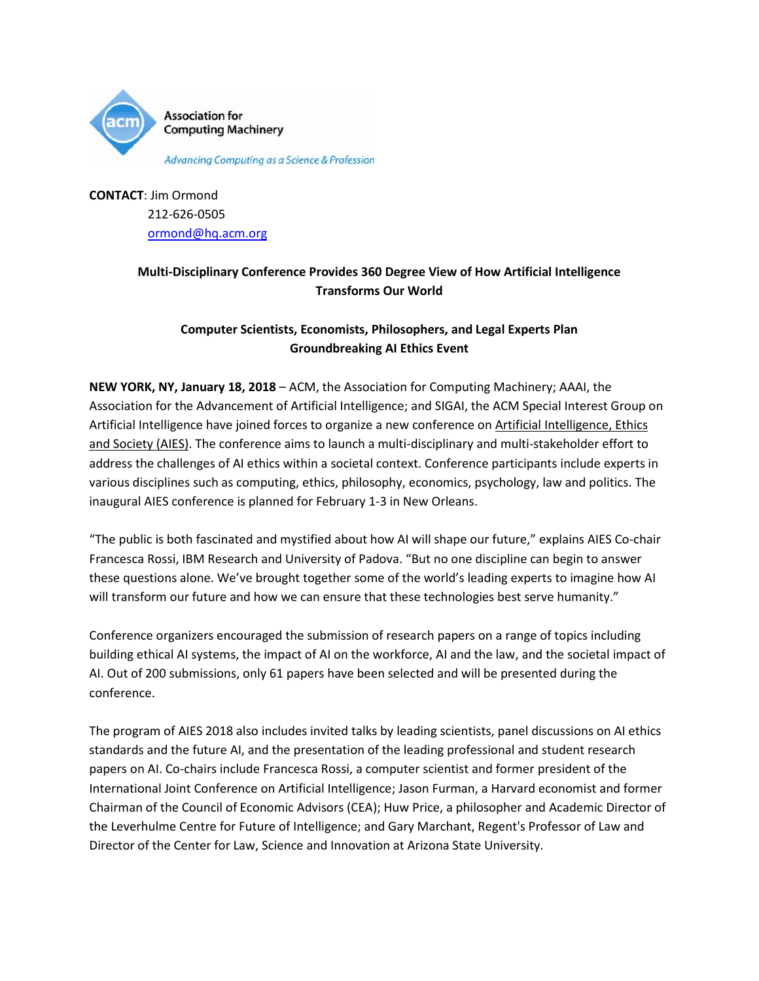

**Association for Computing Machinery** 

**Advancing Computing as a Science & Profession** 

**CONTACT**: Jim Ormond 212-626-0505 [ormond@hq.acm.org](mailto:ormond@hq.acm.org)

## **Multi-Disciplinary Conference Provides 360 Degree View of How Artificial Intelligence Transforms Our World**

### **Computer Scientists, Economists, Philosophers, and Legal Experts Plan Groundbreaking AI Ethics Event**

**NEW YORK, NY, January 18, 2018** – ACM, the Association for Computing Machinery; AAAI, the Association for the Advancement of Artificial Intelligence; and SIGAI, the ACM Special Interest Group on Artificial Intelligence have joined forces to organize a new conference on Artificial Intelligence, Ethics [and Society](http://www.aies-conference.com/) (AIES). The conference aims to launch a multi-disciplinary and multi-stakeholder effort to address the challenges of AI ethics within a societal context. Conference participants include experts in various disciplines such as computing, ethics, philosophy, economics, psychology, law and politics. The inaugural AIES conference is planned for February 1-3 in New Orleans.

"The public is both fascinated and mystified about how AI will shape our future," explains AIES Co-chair Francesca Rossi, IBM Research and University of Padova. "But no one discipline can begin to answer these questions alone. We've brought together some of the world's leading experts to imagine how AI will transform our future and how we can ensure that these technologies best serve humanity."

Conference organizers encouraged the submission of research papers on a range of topics including building ethical AI systems, the impact of AI on the workforce, AI and the law, and the societal impact of AI. Out of 200 submissions, only 61 papers have been selected and will be presented during the conference.

The program of AIES 2018 also includes invited talks by leading scientists, panel discussions on AI ethics standards and the future AI, and the presentation of the leading professional and student research papers on AI. Co-chairs include Francesca Rossi, a computer scientist and former president of the International Joint Conference on Artificial Intelligence; Jason Furman, a Harvard economist and former Chairman of the Council of Economic Advisors (CEA); Huw Price, a philosopher and Academic Director of the Leverhulme Centre for Future of Intelligence; and Gary Marchant, Regent's Professor of Law and Director of the Center for Law, Science and Innovation at Arizona State University.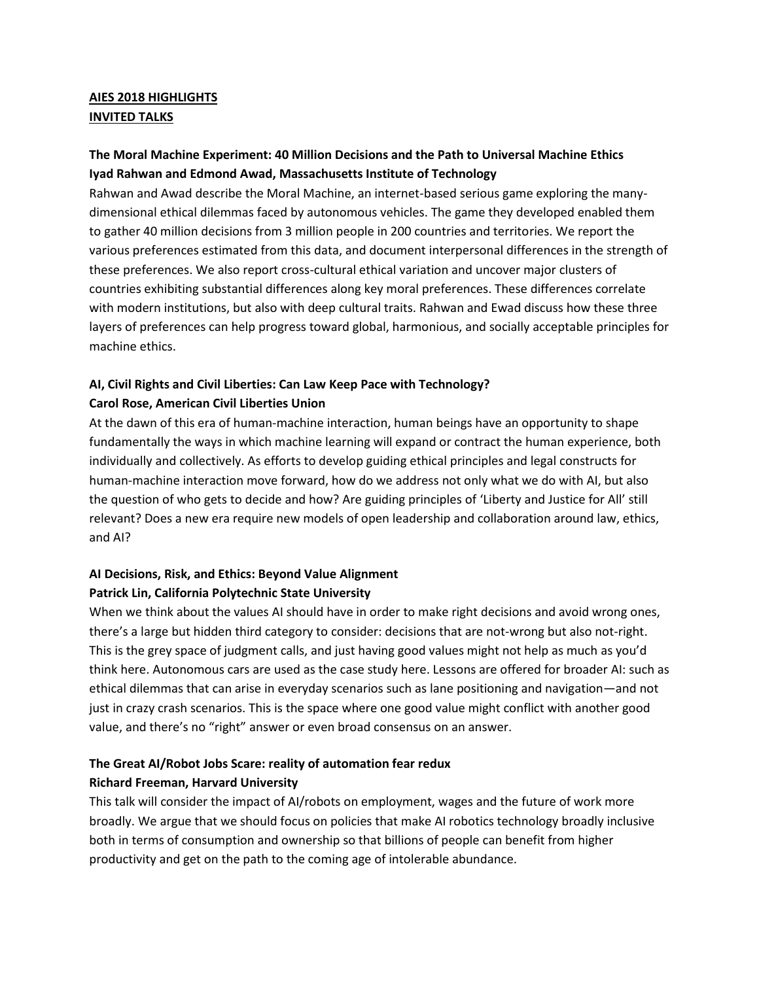### **AIES 2018 HIGHLIGHTS INVITED TALKS**

### **The Moral Machine Experiment: 40 Million Decisions and the Path to Universal Machine Ethics Iyad Rahwan and Edmond Awad, Massachusetts Institute of Technology**

Rahwan and Awad describe the Moral Machine, an internet-based serious game exploring the manydimensional ethical dilemmas faced by autonomous vehicles. The game they developed enabled them to gather 40 million decisions from 3 million people in 200 countries and territories. We report the various preferences estimated from this data, and document interpersonal differences in the strength of these preferences. We also report cross-cultural ethical variation and uncover major clusters of countries exhibiting substantial differences along key moral preferences. These differences correlate with modern institutions, but also with deep cultural traits. Rahwan and Ewad discuss how these three layers of preferences can help progress toward global, harmonious, and socially acceptable principles for machine ethics.

### **AI, Civil Rights and Civil Liberties: Can Law Keep Pace with Technology? Carol Rose, American Civil Liberties Union**

At the dawn of this era of human-machine interaction, human beings have an opportunity to shape fundamentally the ways in which machine learning will expand or contract the human experience, both individually and collectively. As efforts to develop guiding ethical principles and legal constructs for human-machine interaction move forward, how do we address not only what we do with AI, but also the question of who gets to decide and how? Are guiding principles of 'Liberty and Justice for All' still relevant? Does a new era require new models of open leadership and collaboration around law, ethics, and AI?

## **AI Decisions, Risk, and Ethics: Beyond Value Alignment Patrick Lin, California Polytechnic State University**

When we think about the values AI should have in order to make right decisions and avoid wrong ones, there's a large but hidden third category to consider: decisions that are not-wrong but also not-right. This is the grey space of judgment calls, and just having good values might not help as much as you'd think here. Autonomous cars are used as the case study here. Lessons are offered for broader AI: such as ethical dilemmas that can arise in everyday scenarios such as lane positioning and navigation—and not just in crazy crash scenarios. This is the space where one good value might conflict with another good value, and there's no "right" answer or even broad consensus on an answer.

## **The Great AI/Robot Jobs Scare: reality of automation fear redux Richard Freeman, Harvard University**

This talk will consider the impact of AI/robots on employment, wages and the future of work more broadly. We argue that we should focus on policies that make AI robotics technology broadly inclusive both in terms of consumption and ownership so that billions of people can benefit from higher productivity and get on the path to the coming age of intolerable abundance.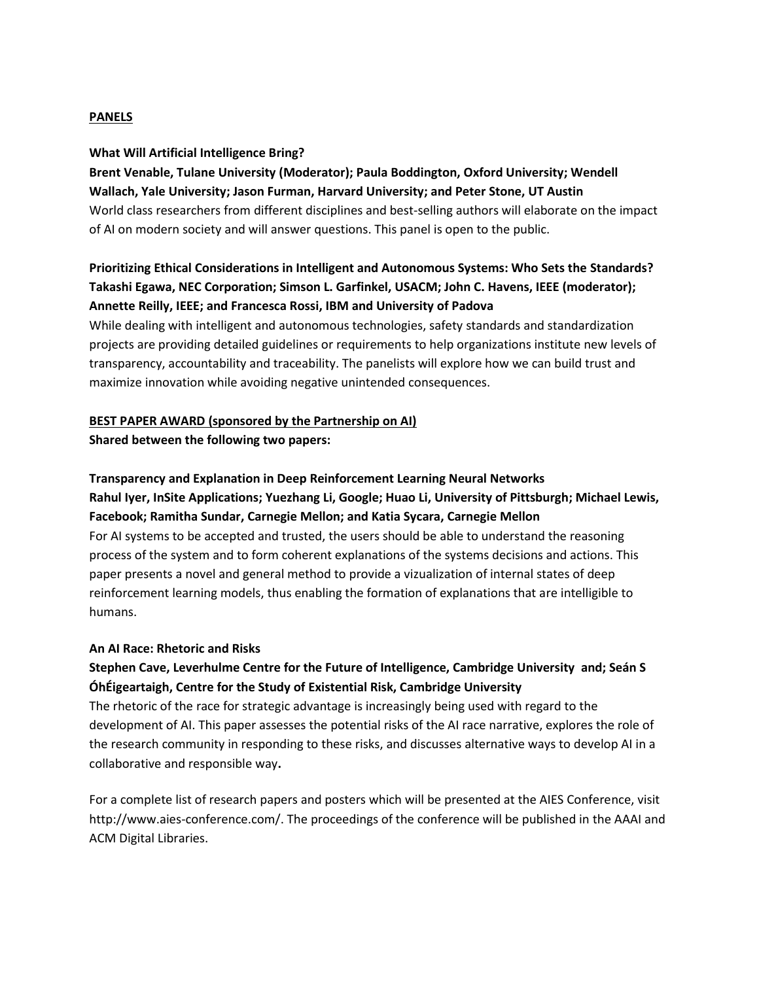#### **PANELS**

#### **What Will Artificial Intelligence Bring?**

## **Brent Venable, Tulane University (Moderator); Paula Boddington, Oxford University; Wendell Wallach, Yale University; Jason Furman, Harvard University; and Peter Stone, UT Austin** World class researchers from different disciplines and best-selling authors will elaborate on the impact of AI on modern society and will answer questions. This panel is open to the public.

## **Prioritizing Ethical Considerations in Intelligent and Autonomous Systems: Who Sets the Standards? Takashi Egawa, NEC Corporation; Simson L. Garfinkel, USACM; John C. Havens, IEEE (moderator); Annette Reilly, IEEE; and Francesca Rossi, IBM and University of Padova**

While dealing with intelligent and autonomous technologies, safety standards and standardization projects are providing detailed guidelines or requirements to help organizations institute new levels of transparency, accountability and traceability. The panelists will explore how we can build trust and maximize innovation while avoiding negative unintended consequences.

# **BEST PAPER AWARD (sponsored by the Partnership on AI)**

**Shared between the following two papers:** 

#### **Transparency and Explanation in Deep Reinforcement Learning Neural Networks**

### **Rahul Iyer, InSite Applications; Yuezhang Li, Google; Huao Li, University of Pittsburgh; Michael Lewis, Facebook; Ramitha Sundar, Carnegie Mellon; and Katia Sycara, Carnegie Mellon**

For AI systems to be accepted and trusted, the users should be able to understand the reasoning process of the system and to form coherent explanations of the systems decisions and actions. This paper presents a novel and general method to provide a vizualization of internal states of deep reinforcement learning models, thus enabling the formation of explanations that are intelligible to humans.

#### **An AI Race: Rhetoric and Risks**

### **Stephen Cave, Leverhulme Centre for the Future of Intelligence, Cambridge University and; Seán S ÓhÉigeartaigh, Centre for the Study of Existential Risk, Cambridge University**

The rhetoric of the race for strategic advantage is increasingly being used with regard to the development of AI. This paper assesses the potential risks of the AI race narrative, explores the role of the research community in responding to these risks, and discusses alternative ways to develop AI in a collaborative and responsible way**.**

For a complete list of research papers and posters which will be presented at the AIES Conference, visit http://www.aies-conference.com/. The proceedings of the conference will be published in the AAAI and ACM Digital Libraries.